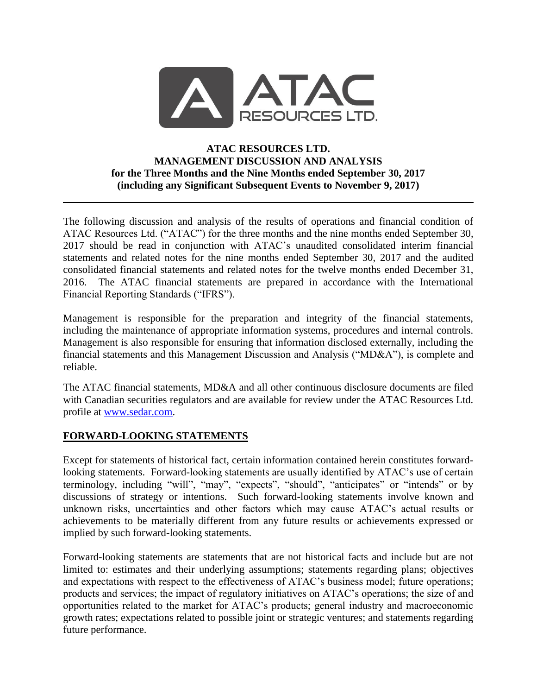

### **ATAC RESOURCES LTD. MANAGEMENT DISCUSSION AND ANALYSIS for the Three Months and the Nine Months ended September 30, 2017 (including any Significant Subsequent Events to November 9, 2017)**

The following discussion and analysis of the results of operations and financial condition of ATAC Resources Ltd. ("ATAC") for the three months and the nine months ended September 30, 2017 should be read in conjunction with ATAC's unaudited consolidated interim financial statements and related notes for the nine months ended September 30, 2017 and the audited consolidated financial statements and related notes for the twelve months ended December 31, 2016. The ATAC financial statements are prepared in accordance with the International Financial Reporting Standards ("IFRS").

Management is responsible for the preparation and integrity of the financial statements, including the maintenance of appropriate information systems, procedures and internal controls. Management is also responsible for ensuring that information disclosed externally, including the financial statements and this Management Discussion and Analysis ("MD&A"), is complete and reliable.

The ATAC financial statements, MD&A and all other continuous disclosure documents are filed with Canadian securities regulators and are available for review under the ATAC Resources Ltd. profile at [www.sedar.com.](http://www.sedar.com/)

## **FORWARD-LOOKING STATEMENTS**

Except for statements of historical fact, certain information contained herein constitutes forwardlooking statements. Forward-looking statements are usually identified by ATAC's use of certain terminology, including "will", "may", "expects", "should", "anticipates" or "intends" or by discussions of strategy or intentions. Such forward-looking statements involve known and unknown risks, uncertainties and other factors which may cause ATAC's actual results or achievements to be materially different from any future results or achievements expressed or implied by such forward-looking statements.

Forward-looking statements are statements that are not historical facts and include but are not limited to: estimates and their underlying assumptions; statements regarding plans; objectives and expectations with respect to the effectiveness of ATAC's business model; future operations; products and services; the impact of regulatory initiatives on ATAC's operations; the size of and opportunities related to the market for ATAC's products; general industry and macroeconomic growth rates; expectations related to possible joint or strategic ventures; and statements regarding future performance.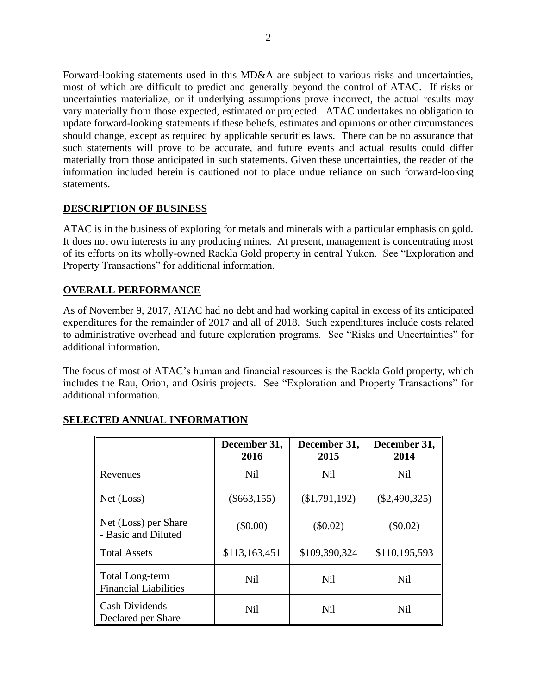Forward-looking statements used in this MD&A are subject to various risks and uncertainties, most of which are difficult to predict and generally beyond the control of ATAC. If risks or uncertainties materialize, or if underlying assumptions prove incorrect, the actual results may vary materially from those expected, estimated or projected. ATAC undertakes no obligation to update forward-looking statements if these beliefs, estimates and opinions or other circumstances should change, except as required by applicable securities laws. There can be no assurance that such statements will prove to be accurate, and future events and actual results could differ materially from those anticipated in such statements. Given these uncertainties, the reader of the information included herein is cautioned not to place undue reliance on such forward-looking statements.

## **DESCRIPTION OF BUSINESS**

ATAC is in the business of exploring for metals and minerals with a particular emphasis on gold. It does not own interests in any producing mines. At present, management is concentrating most of its efforts on its wholly-owned Rackla Gold property in central Yukon. See "Exploration and Property Transactions" for additional information.

### **OVERALL PERFORMANCE**

As of November 9, 2017, ATAC had no debt and had working capital in excess of its anticipated expenditures for the remainder of 2017 and all of 2018. Such expenditures include costs related to administrative overhead and future exploration programs. See "Risks and Uncertainties" for additional information.

The focus of most of ATAC's human and financial resources is the Rackla Gold property, which includes the Rau, Orion, and Osiris projects. See "Exploration and Property Transactions" for additional information.

|                                                        | December 31,<br>2016 | December 31,<br>2015 | December 31,<br>2014 |
|--------------------------------------------------------|----------------------|----------------------|----------------------|
| Revenues                                               | <b>Nil</b>           | <b>Nil</b>           | <b>Nil</b>           |
| Net (Loss)                                             | $(\$663,155)$        | (\$1,791,192)        | $(\$2,490,325)$      |
| Net (Loss) per Share<br>- Basic and Diluted            | $(\$0.00)$           | $(\$0.02)$           | $(\$0.02)$           |
| <b>Total Assets</b>                                    | \$113,163,451        | \$109,390,324        | \$110,195,593        |
| <b>Total Long-term</b><br><b>Financial Liabilities</b> | Nil                  | <b>Nil</b>           | <b>Nil</b>           |
| <b>Cash Dividends</b><br>Declared per Share            | <b>Nil</b>           | <b>Nil</b>           | <b>Nil</b>           |

## **SELECTED ANNUAL INFORMATION**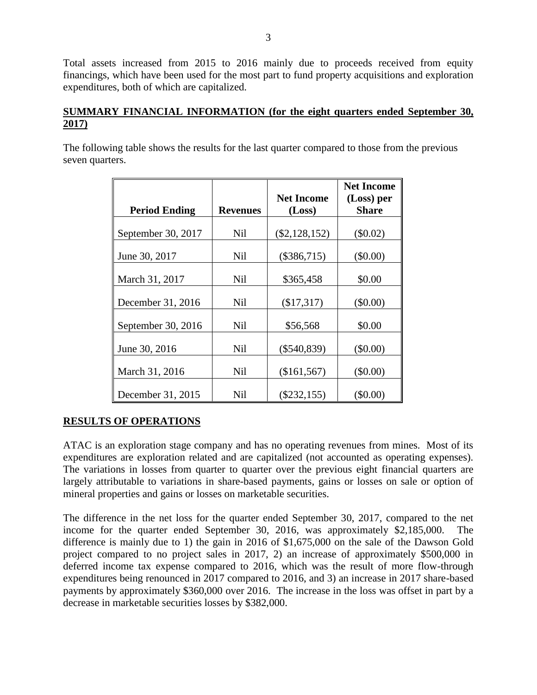Total assets increased from 2015 to 2016 mainly due to proceeds received from equity financings, which have been used for the most part to fund property acquisitions and exploration expenditures, both of which are capitalized.

# **SUMMARY FINANCIAL INFORMATION (for the eight quarters ended September 30, 2017)**

The following table shows the results for the last quarter compared to those from the previous seven quarters.

|                      |                 |                   | <b>Net Income</b> |
|----------------------|-----------------|-------------------|-------------------|
|                      |                 | <b>Net Income</b> | (Loss) per        |
| <b>Period Ending</b> | <b>Revenues</b> | (Loss)            | <b>Share</b>      |
| September 30, 2017   | <b>Nil</b>      | $(\$2,128,152)$   | $(\$0.02)$        |
|                      |                 |                   |                   |
| June 30, 2017        | <b>Nil</b>      | $(\$386,715)$     | \$0.00            |
| March 31, 2017       | <b>Nil</b>      | \$365,458         | \$0.00            |
| December 31, 2016    | Nil             | (\$17,317)        | $(\$0.00)$        |
| September 30, 2016   | <b>Nil</b>      | \$56,568          | \$0.00            |
| June 30, 2016        | <b>Nil</b>      | $(\$540,839)$     | (\$0.00)          |
| March 31, 2016       | <b>Nil</b>      | (\$161,567)       | $(\$0.00)$        |
| December 31, 2015    | Nil             | $(\$232,155)$     | $(\$0.00)$        |

# **RESULTS OF OPERATIONS**

ATAC is an exploration stage company and has no operating revenues from mines. Most of its expenditures are exploration related and are capitalized (not accounted as operating expenses). The variations in losses from quarter to quarter over the previous eight financial quarters are largely attributable to variations in share-based payments, gains or losses on sale or option of mineral properties and gains or losses on marketable securities.

The difference in the net loss for the quarter ended September 30, 2017, compared to the net income for the quarter ended September 30, 2016, was approximately \$2,185,000. The difference is mainly due to 1) the gain in 2016 of \$1,675,000 on the sale of the Dawson Gold project compared to no project sales in 2017, 2) an increase of approximately \$500,000 in deferred income tax expense compared to 2016, which was the result of more flow-through expenditures being renounced in 2017 compared to 2016, and 3) an increase in 2017 share-based payments by approximately \$360,000 over 2016. The increase in the loss was offset in part by a decrease in marketable securities losses by \$382,000.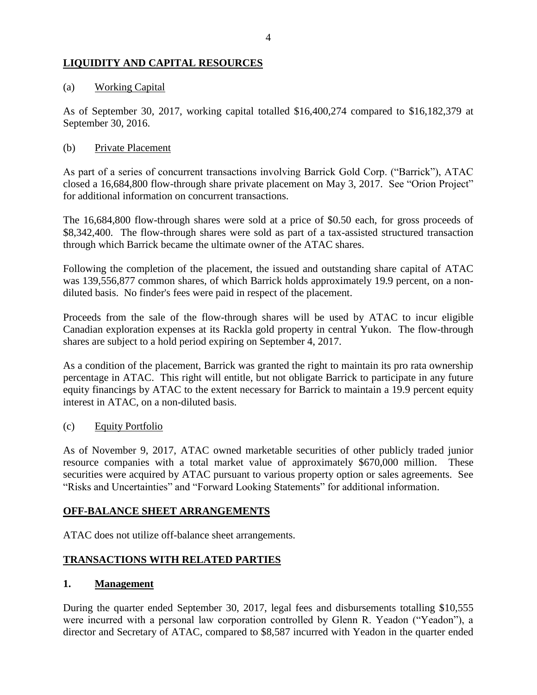# **LIQUIDITY AND CAPITAL RESOURCES**

### (a) Working Capital

As of September 30, 2017, working capital totalled \$16,400,274 compared to \$16,182,379 at September 30, 2016.

### (b) Private Placement

As part of a series of concurrent transactions involving Barrick Gold Corp. ("Barrick"), ATAC closed a 16,684,800 flow-through share private placement on May 3, 2017. See "Orion Project" for additional information on concurrent transactions.

The 16,684,800 flow-through shares were sold at a price of \$0.50 each, for gross proceeds of \$8,342,400. The flow-through shares were sold as part of a tax-assisted structured transaction through which Barrick became the ultimate owner of the ATAC shares.

Following the completion of the placement, the issued and outstanding share capital of ATAC was 139,556,877 common shares, of which Barrick holds approximately 19.9 percent, on a nondiluted basis. No finder's fees were paid in respect of the placement.

Proceeds from the sale of the flow-through shares will be used by ATAC to incur eligible Canadian exploration expenses at its Rackla gold property in central Yukon. The flow-through shares are subject to a hold period expiring on September 4, 2017.

As a condition of the placement, Barrick was granted the right to maintain its pro rata ownership percentage in ATAC. This right will entitle, but not obligate Barrick to participate in any future equity financings by ATAC to the extent necessary for Barrick to maintain a 19.9 percent equity interest in ATAC, on a non-diluted basis.

(c) Equity Portfolio

As of November 9, 2017, ATAC owned marketable securities of other publicly traded junior resource companies with a total market value of approximately \$670,000 million. These securities were acquired by ATAC pursuant to various property option or sales agreements. See "Risks and Uncertainties" and "Forward Looking Statements" for additional information.

## **OFF-BALANCE SHEET ARRANGEMENTS**

ATAC does not utilize off-balance sheet arrangements.

## **TRANSACTIONS WITH RELATED PARTIES**

#### **1. Management**

During the quarter ended September 30, 2017, legal fees and disbursements totalling \$10,555 were incurred with a personal law corporation controlled by Glenn R. Yeadon ("Yeadon"), a director and Secretary of ATAC, compared to \$8,587 incurred with Yeadon in the quarter ended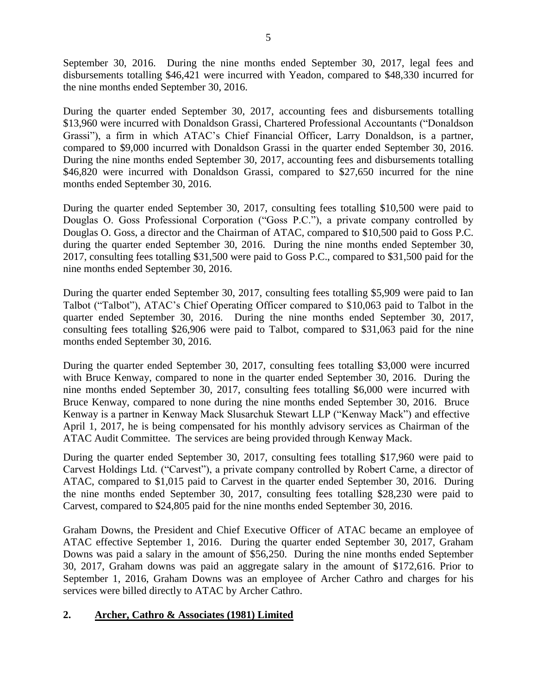September 30, 2016. During the nine months ended September 30, 2017, legal fees and disbursements totalling \$46,421 were incurred with Yeadon, compared to \$48,330 incurred for the nine months ended September 30, 2016.

During the quarter ended September 30, 2017, accounting fees and disbursements totalling \$13,960 were incurred with Donaldson Grassi, Chartered Professional Accountants ("Donaldson Grassi"), a firm in which ATAC's Chief Financial Officer, Larry Donaldson, is a partner, compared to \$9,000 incurred with Donaldson Grassi in the quarter ended September 30, 2016. During the nine months ended September 30, 2017, accounting fees and disbursements totalling \$46,820 were incurred with Donaldson Grassi, compared to \$27,650 incurred for the nine months ended September 30, 2016.

During the quarter ended September 30, 2017, consulting fees totalling \$10,500 were paid to Douglas O. Goss Professional Corporation ("Goss P.C."), a private company controlled by Douglas O. Goss, a director and the Chairman of ATAC, compared to \$10,500 paid to Goss P.C. during the quarter ended September 30, 2016. During the nine months ended September 30, 2017, consulting fees totalling \$31,500 were paid to Goss P.C., compared to \$31,500 paid for the nine months ended September 30, 2016.

During the quarter ended September 30, 2017, consulting fees totalling \$5,909 were paid to Ian Talbot ("Talbot"), ATAC's Chief Operating Officer compared to \$10,063 paid to Talbot in the quarter ended September 30, 2016. During the nine months ended September 30, 2017, consulting fees totalling \$26,906 were paid to Talbot, compared to \$31,063 paid for the nine months ended September 30, 2016.

During the quarter ended September 30, 2017, consulting fees totalling \$3,000 were incurred with Bruce Kenway, compared to none in the quarter ended September 30, 2016. During the nine months ended September 30, 2017, consulting fees totalling \$6,000 were incurred with Bruce Kenway, compared to none during the nine months ended September 30, 2016. Bruce Kenway is a partner in Kenway Mack Slusarchuk Stewart LLP ("Kenway Mack") and effective April 1, 2017, he is being compensated for his monthly advisory services as Chairman of the ATAC Audit Committee. The services are being provided through Kenway Mack.

During the quarter ended September 30, 2017, consulting fees totalling \$17,960 were paid to Carvest Holdings Ltd. ("Carvest"), a private company controlled by Robert Carne, a director of ATAC, compared to \$1,015 paid to Carvest in the quarter ended September 30, 2016. During the nine months ended September 30, 2017, consulting fees totalling \$28,230 were paid to Carvest, compared to \$24,805 paid for the nine months ended September 30, 2016.

Graham Downs, the President and Chief Executive Officer of ATAC became an employee of ATAC effective September 1, 2016. During the quarter ended September 30, 2017, Graham Downs was paid a salary in the amount of \$56,250. During the nine months ended September 30, 2017, Graham downs was paid an aggregate salary in the amount of \$172,616. Prior to September 1, 2016, Graham Downs was an employee of Archer Cathro and charges for his services were billed directly to ATAC by Archer Cathro.

# **2. Archer, Cathro & Associates (1981) Limited**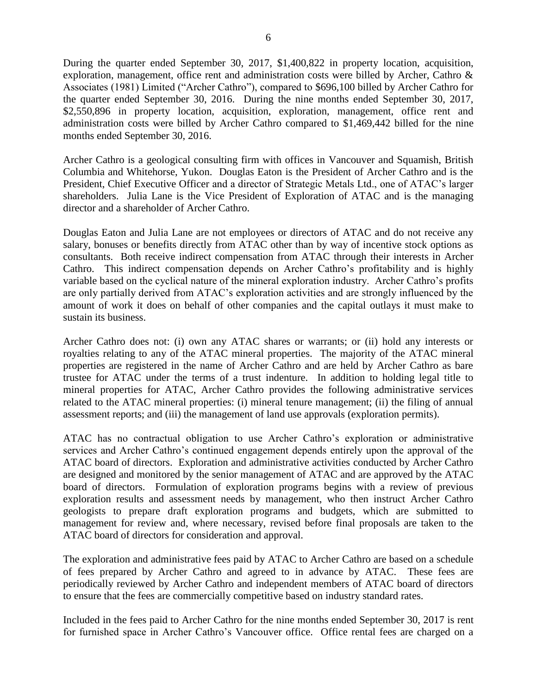During the quarter ended September 30, 2017, \$1,400,822 in property location, acquisition, exploration, management, office rent and administration costs were billed by Archer, Cathro & Associates (1981) Limited ("Archer Cathro"), compared to \$696,100 billed by Archer Cathro for the quarter ended September 30, 2016. During the nine months ended September 30, 2017, \$2,550,896 in property location, acquisition, exploration, management, office rent and administration costs were billed by Archer Cathro compared to \$1,469,442 billed for the nine months ended September 30, 2016.

Archer Cathro is a geological consulting firm with offices in Vancouver and Squamish, British Columbia and Whitehorse, Yukon. Douglas Eaton is the President of Archer Cathro and is the President, Chief Executive Officer and a director of Strategic Metals Ltd., one of ATAC's larger shareholders. Julia Lane is the Vice President of Exploration of ATAC and is the managing director and a shareholder of Archer Cathro.

Douglas Eaton and Julia Lane are not employees or directors of ATAC and do not receive any salary, bonuses or benefits directly from ATAC other than by way of incentive stock options as consultants. Both receive indirect compensation from ATAC through their interests in Archer Cathro. This indirect compensation depends on Archer Cathro's profitability and is highly variable based on the cyclical nature of the mineral exploration industry. Archer Cathro's profits are only partially derived from ATAC's exploration activities and are strongly influenced by the amount of work it does on behalf of other companies and the capital outlays it must make to sustain its business.

Archer Cathro does not: (i) own any ATAC shares or warrants; or (ii) hold any interests or royalties relating to any of the ATAC mineral properties. The majority of the ATAC mineral properties are registered in the name of Archer Cathro and are held by Archer Cathro as bare trustee for ATAC under the terms of a trust indenture. In addition to holding legal title to mineral properties for ATAC, Archer Cathro provides the following administrative services related to the ATAC mineral properties: (i) mineral tenure management; (ii) the filing of annual assessment reports; and (iii) the management of land use approvals (exploration permits).

ATAC has no contractual obligation to use Archer Cathro's exploration or administrative services and Archer Cathro's continued engagement depends entirely upon the approval of the ATAC board of directors. Exploration and administrative activities conducted by Archer Cathro are designed and monitored by the senior management of ATAC and are approved by the ATAC board of directors. Formulation of exploration programs begins with a review of previous exploration results and assessment needs by management, who then instruct Archer Cathro geologists to prepare draft exploration programs and budgets, which are submitted to management for review and, where necessary, revised before final proposals are taken to the ATAC board of directors for consideration and approval.

The exploration and administrative fees paid by ATAC to Archer Cathro are based on a schedule of fees prepared by Archer Cathro and agreed to in advance by ATAC. These fees are periodically reviewed by Archer Cathro and independent members of ATAC board of directors to ensure that the fees are commercially competitive based on industry standard rates.

Included in the fees paid to Archer Cathro for the nine months ended September 30, 2017 is rent for furnished space in Archer Cathro's Vancouver office. Office rental fees are charged on a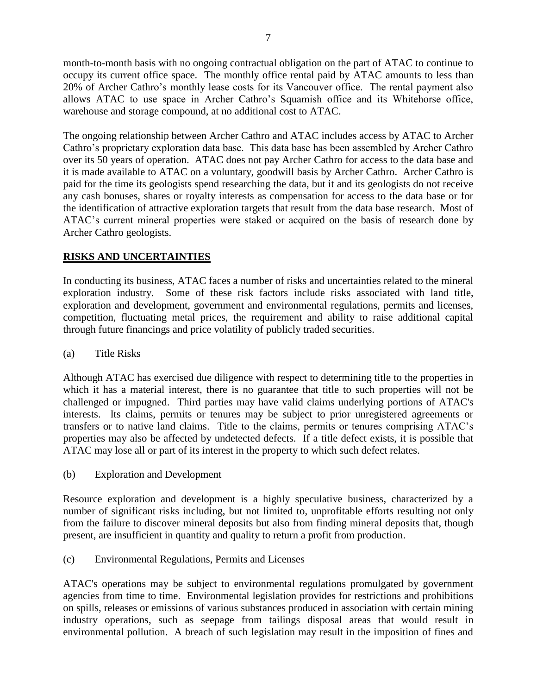month-to-month basis with no ongoing contractual obligation on the part of ATAC to continue to occupy its current office space. The monthly office rental paid by ATAC amounts to less than 20% of Archer Cathro's monthly lease costs for its Vancouver office. The rental payment also allows ATAC to use space in Archer Cathro's Squamish office and its Whitehorse office, warehouse and storage compound, at no additional cost to ATAC.

The ongoing relationship between Archer Cathro and ATAC includes access by ATAC to Archer Cathro's proprietary exploration data base. This data base has been assembled by Archer Cathro over its 50 years of operation. ATAC does not pay Archer Cathro for access to the data base and it is made available to ATAC on a voluntary, goodwill basis by Archer Cathro. Archer Cathro is paid for the time its geologists spend researching the data, but it and its geologists do not receive any cash bonuses, shares or royalty interests as compensation for access to the data base or for the identification of attractive exploration targets that result from the data base research. Most of ATAC's current mineral properties were staked or acquired on the basis of research done by Archer Cathro geologists.

# **RISKS AND UNCERTAINTIES**

In conducting its business, ATAC faces a number of risks and uncertainties related to the mineral exploration industry. Some of these risk factors include risks associated with land title, exploration and development, government and environmental regulations, permits and licenses, competition, fluctuating metal prices, the requirement and ability to raise additional capital through future financings and price volatility of publicly traded securities.

(a) Title Risks

Although ATAC has exercised due diligence with respect to determining title to the properties in which it has a material interest, there is no guarantee that title to such properties will not be challenged or impugned. Third parties may have valid claims underlying portions of ATAC's interests. Its claims, permits or tenures may be subject to prior unregistered agreements or transfers or to native land claims. Title to the claims, permits or tenures comprising ATAC's properties may also be affected by undetected defects. If a title defect exists, it is possible that ATAC may lose all or part of its interest in the property to which such defect relates.

(b) Exploration and Development

Resource exploration and development is a highly speculative business, characterized by a number of significant risks including, but not limited to, unprofitable efforts resulting not only from the failure to discover mineral deposits but also from finding mineral deposits that, though present, are insufficient in quantity and quality to return a profit from production.

(c) Environmental Regulations, Permits and Licenses

ATAC's operations may be subject to environmental regulations promulgated by government agencies from time to time. Environmental legislation provides for restrictions and prohibitions on spills, releases or emissions of various substances produced in association with certain mining industry operations, such as seepage from tailings disposal areas that would result in environmental pollution. A breach of such legislation may result in the imposition of fines and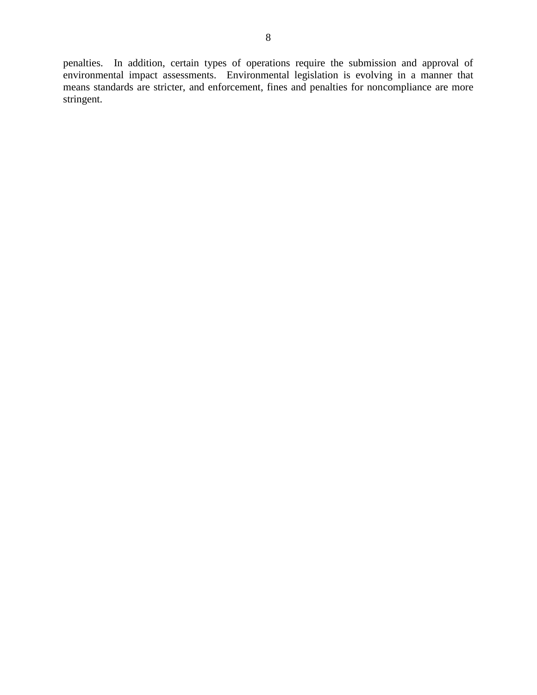penalties. In addition, certain types of operations require the submission and approval of environmental impact assessments. Environmental legislation is evolving in a manner that means standards are stricter, and enforcement, fines and penalties for noncompliance are more stringent.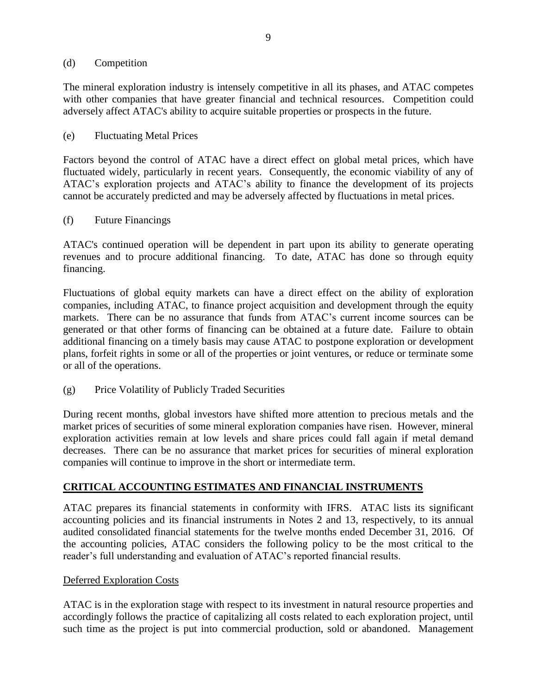#### (d) Competition

The mineral exploration industry is intensely competitive in all its phases, and ATAC competes with other companies that have greater financial and technical resources. Competition could adversely affect ATAC's ability to acquire suitable properties or prospects in the future.

#### (e) Fluctuating Metal Prices

Factors beyond the control of ATAC have a direct effect on global metal prices, which have fluctuated widely, particularly in recent years. Consequently, the economic viability of any of ATAC's exploration projects and ATAC's ability to finance the development of its projects cannot be accurately predicted and may be adversely affected by fluctuations in metal prices.

#### (f) Future Financings

ATAC's continued operation will be dependent in part upon its ability to generate operating revenues and to procure additional financing. To date, ATAC has done so through equity financing.

Fluctuations of global equity markets can have a direct effect on the ability of exploration companies, including ATAC, to finance project acquisition and development through the equity markets. There can be no assurance that funds from ATAC's current income sources can be generated or that other forms of financing can be obtained at a future date. Failure to obtain additional financing on a timely basis may cause ATAC to postpone exploration or development plans, forfeit rights in some or all of the properties or joint ventures, or reduce or terminate some or all of the operations.

(g) Price Volatility of Publicly Traded Securities

During recent months, global investors have shifted more attention to precious metals and the market prices of securities of some mineral exploration companies have risen. However, mineral exploration activities remain at low levels and share prices could fall again if metal demand decreases. There can be no assurance that market prices for securities of mineral exploration companies will continue to improve in the short or intermediate term.

#### **CRITICAL ACCOUNTING ESTIMATES AND FINANCIAL INSTRUMENTS**

ATAC prepares its financial statements in conformity with IFRS. ATAC lists its significant accounting policies and its financial instruments in Notes 2 and 13, respectively, to its annual audited consolidated financial statements for the twelve months ended December 31, 2016. Of the accounting policies, ATAC considers the following policy to be the most critical to the reader's full understanding and evaluation of ATAC's reported financial results.

#### Deferred Exploration Costs

ATAC is in the exploration stage with respect to its investment in natural resource properties and accordingly follows the practice of capitalizing all costs related to each exploration project, until such time as the project is put into commercial production, sold or abandoned. Management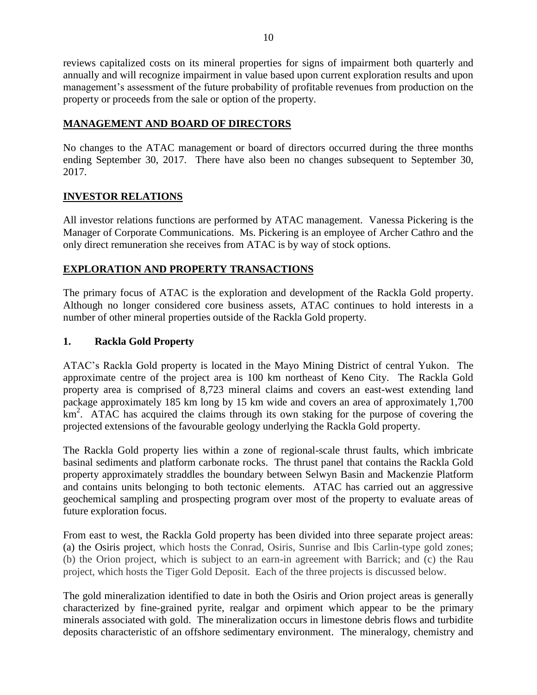reviews capitalized costs on its mineral properties for signs of impairment both quarterly and annually and will recognize impairment in value based upon current exploration results and upon management's assessment of the future probability of profitable revenues from production on the property or proceeds from the sale or option of the property.

# **MANAGEMENT AND BOARD OF DIRECTORS**

No changes to the ATAC management or board of directors occurred during the three months ending September 30, 2017. There have also been no changes subsequent to September 30, 2017.

## **INVESTOR RELATIONS**

All investor relations functions are performed by ATAC management. Vanessa Pickering is the Manager of Corporate Communications. Ms. Pickering is an employee of Archer Cathro and the only direct remuneration she receives from ATAC is by way of stock options.

## **EXPLORATION AND PROPERTY TRANSACTIONS**

The primary focus of ATAC is the exploration and development of the Rackla Gold property. Although no longer considered core business assets, ATAC continues to hold interests in a number of other mineral properties outside of the Rackla Gold property.

## **1. Rackla Gold Property**

ATAC's Rackla Gold property is located in the Mayo Mining District of central Yukon. The approximate centre of the project area is 100 km northeast of Keno City. The Rackla Gold property area is comprised of 8,723 mineral claims and covers an east-west extending land package approximately 185 km long by 15 km wide and covers an area of approximately 1,700 km<sup>2</sup>. ATAC has acquired the claims through its own staking for the purpose of covering the projected extensions of the favourable geology underlying the Rackla Gold property.

The Rackla Gold property lies within a zone of regional-scale thrust faults, which imbricate basinal sediments and platform carbonate rocks. The thrust panel that contains the Rackla Gold property approximately straddles the boundary between Selwyn Basin and Mackenzie Platform and contains units belonging to both tectonic elements. ATAC has carried out an aggressive geochemical sampling and prospecting program over most of the property to evaluate areas of future exploration focus.

From east to west, the Rackla Gold property has been divided into three separate project areas: (a) the Osiris project, which hosts the Conrad, Osiris, Sunrise and Ibis Carlin-type gold zones; (b) the Orion project, which is subject to an earn-in agreement with Barrick; and (c) the Rau project, which hosts the Tiger Gold Deposit. Each of the three projects is discussed below.

The gold mineralization identified to date in both the Osiris and Orion project areas is generally characterized by fine-grained pyrite, realgar and orpiment which appear to be the primary minerals associated with gold. The mineralization occurs in limestone debris flows and turbidite deposits characteristic of an offshore sedimentary environment. The mineralogy, chemistry and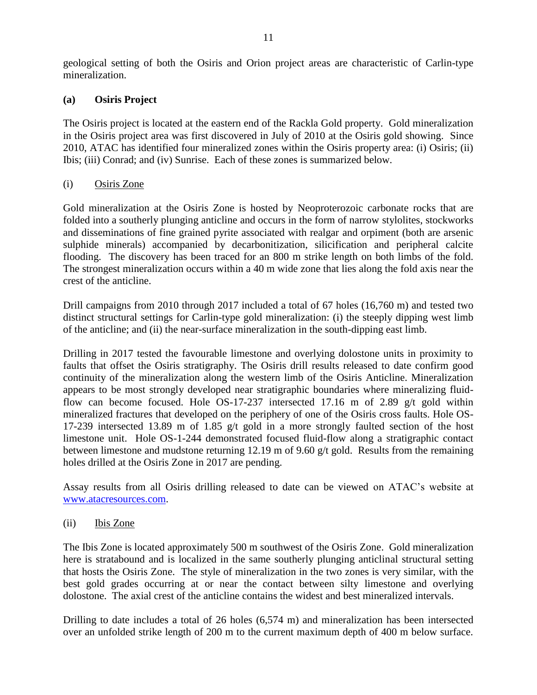geological setting of both the Osiris and Orion project areas are characteristic of Carlin-type mineralization.

### **(a) Osiris Project**

The Osiris project is located at the eastern end of the Rackla Gold property. Gold mineralization in the Osiris project area was first discovered in July of 2010 at the Osiris gold showing. Since 2010, ATAC has identified four mineralized zones within the Osiris property area: (i) Osiris; (ii) Ibis; (iii) Conrad; and (iv) Sunrise. Each of these zones is summarized below.

### (i) Osiris Zone

Gold mineralization at the Osiris Zone is hosted by Neoproterozoic carbonate rocks that are folded into a southerly plunging anticline and occurs in the form of narrow stylolites, stockworks and disseminations of fine grained pyrite associated with realgar and orpiment (both are arsenic sulphide minerals) accompanied by decarbonitization, silicification and peripheral calcite flooding. The discovery has been traced for an 800 m strike length on both limbs of the fold. The strongest mineralization occurs within a 40 m wide zone that lies along the fold axis near the crest of the anticline.

Drill campaigns from 2010 through 2017 included a total of 67 holes (16,760 m) and tested two distinct structural settings for Carlin-type gold mineralization: (i) the steeply dipping west limb of the anticline; and (ii) the near-surface mineralization in the south-dipping east limb.

Drilling in 2017 tested the favourable limestone and overlying dolostone units in proximity to faults that offset the Osiris stratigraphy. The Osiris drill results released to date confirm good continuity of the mineralization along the western limb of the Osiris Anticline. Mineralization appears to be most strongly developed near stratigraphic boundaries where mineralizing fluidflow can become focused. Hole OS-17-237 intersected 17.16 m of 2.89 g/t gold within mineralized fractures that developed on the periphery of one of the Osiris cross faults. Hole OS-17-239 intersected 13.89 m of 1.85 g/t gold in a more strongly faulted section of the host limestone unit. Hole OS-1-244 demonstrated focused fluid-flow along a stratigraphic contact between limestone and mudstone returning 12.19 m of 9.60 g/t gold. Results from the remaining holes drilled at the Osiris Zone in 2017 are pending.

Assay results from all Osiris drilling released to date can be viewed on ATAC's website at [www.atacresources.com.](http://www.atacresources.com/news/news-releases/atac-resources-ltd-identifies-10-sq-km-gold-in-soil-anomaly-5-km-southeast-of-its-tiger-gold-deposit-rackla-gold-project-yukon)

(ii) Ibis Zone

The Ibis Zone is located approximately 500 m southwest of the Osiris Zone. Gold mineralization here is stratabound and is localized in the same southerly plunging anticlinal structural setting that hosts the Osiris Zone. The style of mineralization in the two zones is very similar, with the best gold grades occurring at or near the contact between silty limestone and overlying dolostone. The axial crest of the anticline contains the widest and best mineralized intervals.

Drilling to date includes a total of 26 holes (6,574 m) and mineralization has been intersected over an unfolded strike length of 200 m to the current maximum depth of 400 m below surface.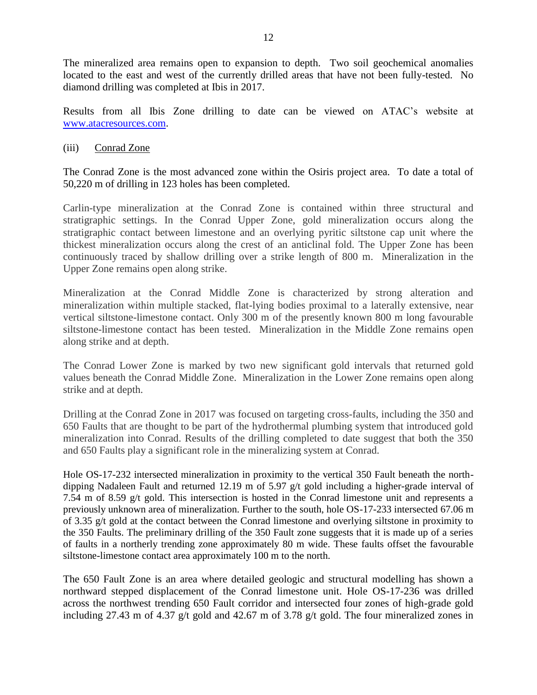The mineralized area remains open to expansion to depth. Two soil geochemical anomalies located to the east and west of the currently drilled areas that have not been fully-tested. No diamond drilling was completed at Ibis in 2017.

Results from all Ibis Zone drilling to date can be viewed on ATAC's website at [www.atacresources.com.](http://www.atacresources.com/news/news-releases/atac-resources-ltd-identifies-10-sq-km-gold-in-soil-anomaly-5-km-southeast-of-its-tiger-gold-deposit-rackla-gold-project-yukon)

### (iii) Conrad Zone

The Conrad Zone is the most advanced zone within the Osiris project area. To date a total of 50,220 m of drilling in 123 holes has been completed.

Carlin-type mineralization at the Conrad Zone is contained within three structural and stratigraphic settings. In the Conrad Upper Zone, gold mineralization occurs along the stratigraphic contact between limestone and an overlying pyritic siltstone cap unit where the thickest mineralization occurs along the crest of an anticlinal fold. The Upper Zone has been continuously traced by shallow drilling over a strike length of 800 m. Mineralization in the Upper Zone remains open along strike.

Mineralization at the Conrad Middle Zone is characterized by strong alteration and mineralization within multiple stacked, flat-lying bodies proximal to a laterally extensive, near vertical siltstone-limestone contact. Only 300 m of the presently known 800 m long favourable siltstone-limestone contact has been tested. Mineralization in the Middle Zone remains open along strike and at depth.

The Conrad Lower Zone is marked by two new significant gold intervals that returned gold values beneath the Conrad Middle Zone. Mineralization in the Lower Zone remains open along strike and at depth.

Drilling at the Conrad Zone in 2017 was focused on targeting cross-faults, including the 350 and 650 Faults that are thought to be part of the hydrothermal plumbing system that introduced gold mineralization into Conrad. Results of the drilling completed to date suggest that both the 350 and 650 Faults play a significant role in the mineralizing system at Conrad.

Hole OS-17-232 intersected mineralization in proximity to the vertical 350 Fault beneath the northdipping Nadaleen Fault and returned 12.19 m of 5.97 g/t gold including a higher-grade interval of 7.54 m of 8.59 g/t gold. This intersection is hosted in the Conrad limestone unit and represents a previously unknown area of mineralization. Further to the south, hole OS-17-233 intersected 67.06 m of 3.35 g/t gold at the contact between the Conrad limestone and overlying siltstone in proximity to the 350 Faults. The preliminary drilling of the 350 Fault zone suggests that it is made up of a series of faults in a northerly trending zone approximately 80 m wide. These faults offset the favourable siltstone-limestone contact area approximately 100 m to the north.

The 650 Fault Zone is an area where detailed geologic and structural modelling has shown a northward stepped displacement of the Conrad limestone unit. Hole OS-17-236 was drilled across the northwest trending 650 Fault corridor and intersected four zones of high-grade gold including 27.43 m of 4.37 g/t gold and 42.67 m of 3.78 g/t gold. The four mineralized zones in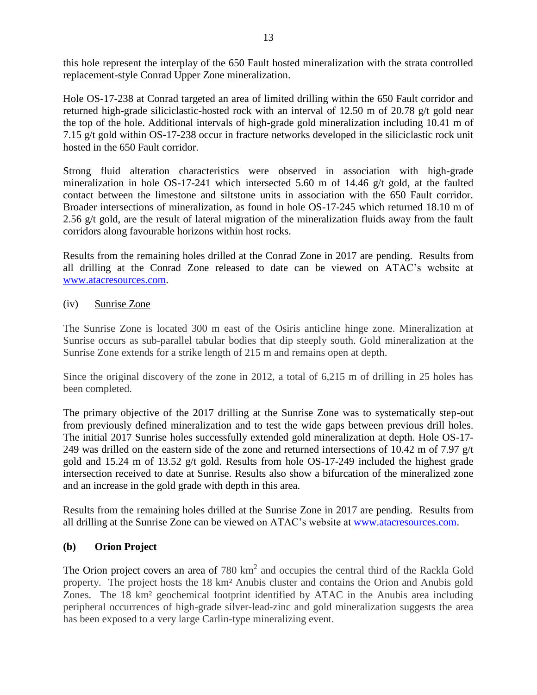this hole represent the interplay of the 650 Fault hosted mineralization with the strata controlled replacement-style Conrad Upper Zone mineralization.

Hole OS-17-238 at Conrad targeted an area of limited drilling within the 650 Fault corridor and returned high-grade siliciclastic-hosted rock with an interval of 12.50 m of 20.78 g/t gold near the top of the hole. Additional intervals of high-grade gold mineralization including 10.41 m of 7.15 g/t gold within OS-17-238 occur in fracture networks developed in the siliciclastic rock unit hosted in the 650 Fault corridor.

Strong fluid alteration characteristics were observed in association with high-grade mineralization in hole OS-17-241 which intersected 5.60 m of 14.46 g/t gold, at the faulted contact between the limestone and siltstone units in association with the 650 Fault corridor. Broader intersections of mineralization, as found in hole OS-17-245 which returned 18.10 m of 2.56 g/t gold, are the result of lateral migration of the mineralization fluids away from the fault corridors along favourable horizons within host rocks.

Results from the remaining holes drilled at the Conrad Zone in 2017 are pending. Results from all drilling at the Conrad Zone released to date can be viewed on ATAC's website at [www.atacresources.com.](http://www.atacresources.com/news/news-releases/atac-resources-ltd-identifies-10-sq-km-gold-in-soil-anomaly-5-km-southeast-of-its-tiger-gold-deposit-rackla-gold-project-yukon)

### (iv) Sunrise Zone

The Sunrise Zone is located 300 m east of the Osiris anticline hinge zone. Mineralization at Sunrise occurs as sub-parallel tabular bodies that dip steeply south. Gold mineralization at the Sunrise Zone extends for a strike length of 215 m and remains open at depth.

Since the original discovery of the zone in 2012, a total of 6,215 m of drilling in 25 holes has been completed.

The primary objective of the 2017 drilling at the Sunrise Zone was to systematically step-out from previously defined mineralization and to test the wide gaps between previous drill holes. The initial 2017 Sunrise holes successfully extended gold mineralization at depth. Hole OS-17- 249 was drilled on the eastern side of the zone and returned intersections of 10.42 m of 7.97 g/t gold and 15.24 m of 13.52 g/t gold. Results from hole OS-17-249 included the highest grade intersection received to date at Sunrise. Results also show a bifurcation of the mineralized zone and an increase in the gold grade with depth in this area.

Results from the remaining holes drilled at the Sunrise Zone in 2017 are pending. Results from all drilling at the Sunrise Zone can be viewed on ATAC's website at [www.atacresources.com.](http://www.atacresources.com/news/news-releases/atac-resources-ltd-identifies-10-sq-km-gold-in-soil-anomaly-5-km-southeast-of-its-tiger-gold-deposit-rackla-gold-project-yukon)

#### **(b) Orion Project**

The Orion project covers an area of  $780 \text{ km}^2$  and occupies the central third of the Rackla Gold property. The project hosts the 18 km² Anubis cluster and contains the Orion and Anubis gold Zones. The 18 km² geochemical footprint identified by ATAC in the Anubis area including peripheral occurrences of high-grade silver-lead-zinc and gold mineralization suggests the area has been exposed to a very large Carlin-type mineralizing event.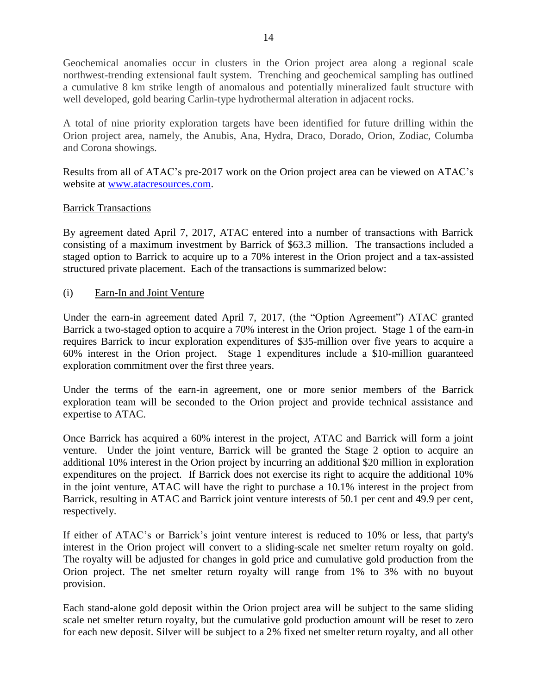Geochemical anomalies occur in clusters in the Orion project area along a regional scale northwest-trending extensional fault system. Trenching and geochemical sampling has outlined a cumulative 8 km strike length of anomalous and potentially mineralized fault structure with well developed, gold bearing Carlin-type hydrothermal alteration in adjacent rocks.

A total of nine priority exploration targets have been identified for future drilling within the Orion project area, namely, the Anubis, Ana, Hydra, Draco, Dorado, Orion, Zodiac, Columba and Corona showings.

Results from all of ATAC's pre-2017 work on the Orion project area can be viewed on ATAC's website at [www.atacresources.com.](http://www.atacresources.com/news/news-releases/atac-resources-ltd-identifies-10-sq-km-gold-in-soil-anomaly-5-km-southeast-of-its-tiger-gold-deposit-rackla-gold-project-yukon)

### Barrick Transactions

By agreement dated April 7, 2017, ATAC entered into a number of transactions with Barrick consisting of a maximum investment by Barrick of \$63.3 million. The transactions included a staged option to Barrick to acquire up to a 70% interest in the Orion project and a tax-assisted structured private placement. Each of the transactions is summarized below:

(i) Earn-In and Joint Venture

Under the earn-in agreement dated April 7, 2017, (the "Option Agreement") ATAC granted Barrick a two-staged option to acquire a 70% interest in the Orion project. Stage 1 of the earn-in requires Barrick to incur exploration expenditures of \$35-million over five years to acquire a 60% interest in the Orion project. Stage 1 expenditures include a \$10-million guaranteed exploration commitment over the first three years.

Under the terms of the earn-in agreement, one or more senior members of the Barrick exploration team will be seconded to the Orion project and provide technical assistance and expertise to ATAC.

Once Barrick has acquired a 60% interest in the project, ATAC and Barrick will form a joint venture. Under the joint venture, Barrick will be granted the Stage 2 option to acquire an additional 10% interest in the Orion project by incurring an additional \$20 million in exploration expenditures on the project. If Barrick does not exercise its right to acquire the additional 10% in the joint venture, ATAC will have the right to purchase a 10.1% interest in the project from Barrick, resulting in ATAC and Barrick joint venture interests of 50.1 per cent and 49.9 per cent, respectively.

If either of ATAC's or Barrick's joint venture interest is reduced to 10% or less, that party's interest in the Orion project will convert to a sliding-scale net smelter return royalty on gold. The royalty will be adjusted for changes in gold price and cumulative gold production from the Orion project. The net smelter return royalty will range from 1% to 3% with no buyout provision.

Each stand-alone gold deposit within the Orion project area will be subject to the same sliding scale net smelter return royalty, but the cumulative gold production amount will be reset to zero for each new deposit. Silver will be subject to a 2% fixed net smelter return royalty, and all other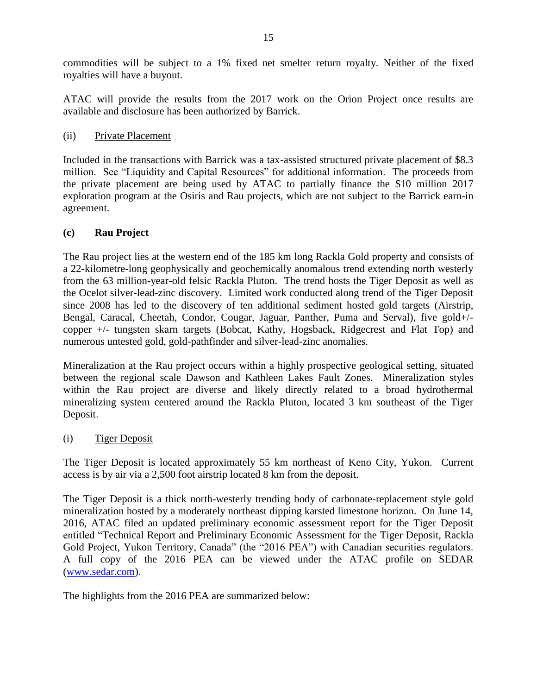commodities will be subject to a 1% fixed net smelter return royalty. Neither of the fixed royalties will have a buyout.

ATAC will provide the results from the 2017 work on the Orion Project once results are available and disclosure has been authorized by Barrick.

### (ii) Private Placement

Included in the transactions with Barrick was a tax-assisted structured private placement of \$8.3 million. See "Liquidity and Capital Resources" for additional information. The proceeds from the private placement are being used by ATAC to partially finance the \$10 million 2017 exploration program at the Osiris and Rau projects, which are not subject to the Barrick earn-in agreement.

### **(c) Rau Project**

The [Rau project](http://www.atacresources.com/projects/rackla/rau-trend) lies at the western end of the 185 km long Rackla Gold property and consists of a 22-kilometre-long geophysically and geochemically anomalous trend extending north westerly from the 63 million-year-old felsic Rackla Pluton. The trend hosts the Tiger Deposit as well as the Ocelot silver-lead-zinc discovery. Limited work conducted along trend of the Tiger Deposit since 2008 has led to the discovery of ten additional sediment hosted gold targets (Airstrip, Bengal, Caracal, Cheetah, Condor, Cougar, Jaguar, Panther, Puma and Serval), five gold+/ copper +/- tungsten skarn targets (Bobcat, Kathy, Hogsback, Ridgecrest and Flat Top) and numerous untested gold, gold-pathfinder and silver-lead-zinc anomalies.

Mineralization at the Rau project occurs within a highly prospective geological setting, situated between the regional scale Dawson and Kathleen Lakes Fault Zones. Mineralization styles within the Rau project are diverse and likely directly related to a broad hydrothermal mineralizing system centered around the Rackla Pluton, located 3 km southeast of the Tiger Deposit.

#### (i) Tiger Deposit

The Tiger Deposit is located approximately 55 km northeast of Keno City, Yukon. Current access is by air via a 2,500 foot airstrip located 8 km from the deposit.

The Tiger Deposit is a thick north-westerly trending body of carbonate-replacement style gold mineralization hosted by a moderately northeast dipping karsted limestone horizon. On June 14, 2016, ATAC filed an updated preliminary economic assessment report for the Tiger Deposit entitled "Technical Report and Preliminary Economic Assessment for the Tiger Deposit, Rackla Gold Project, Yukon Territory, Canada" (the "2016 PEA") with Canadian securities regulators. A full copy of the 2016 PEA can be viewed under the ATAC profile on SEDAR [\(www.sedar.com\)](http://www.sedar.com/).

The highlights from the 2016 PEA are summarized below: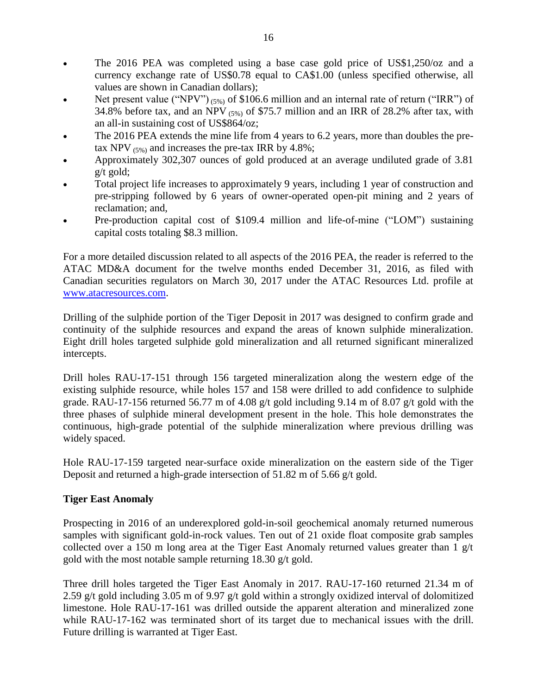- The 2016 PEA was completed using a base case gold price of US\$1,250/oz and a currency exchange rate of US\$0.78 equal to CA\$1.00 (unless specified otherwise, all values are shown in Canadian dollars);
- Net present value ("NPV") (5%) of \$106.6 million and an internal rate of return ("IRR") of 34.8% before tax, and an NPV  $(5%)$  of \$75.7 million and an IRR of 28.2% after tax, with an all-in sustaining cost of US\$864/oz;
- The 2016 PEA extends the mine life from 4 years to 6.2 years, more than doubles the pretax NPV  $_{(5\%)}$  and increases the pre-tax IRR by 4.8%;
- Approximately 302,307 ounces of gold produced at an average undiluted grade of 3.81 g/t gold;
- Total project life increases to approximately 9 years, including 1 year of construction and pre-stripping followed by 6 years of owner-operated open-pit mining and 2 years of reclamation; and,
- Pre-production capital cost of \$109.4 million and life-of-mine ("LOM") sustaining capital costs totaling \$8.3 million.

For a more detailed discussion related to all aspects of the 2016 PEA, the reader is referred to the ATAC MD&A document for the twelve months ended December 31, 2016, as filed with Canadian securities regulators on March 30, 2017 under the ATAC Resources Ltd. profile at [www.atacresources.com.](http://www.atacresources.com/)

Drilling of the sulphide portion of the Tiger Deposit in 2017 was designed to confirm grade and continuity of the sulphide resources and expand the areas of known sulphide mineralization. Eight drill holes targeted sulphide gold mineralization and all returned significant mineralized intercepts.

Drill holes RAU-17-151 through 156 targeted mineralization along the western edge of the existing sulphide resource, while holes 157 and 158 were drilled to add confidence to sulphide grade. RAU-17-156 returned 56.77 m of 4.08 g/t gold including 9.14 m of 8.07 g/t gold with the three phases of sulphide mineral development present in the hole. This hole demonstrates the continuous, high-grade potential of the sulphide mineralization where previous drilling was widely spaced.

Hole RAU-17-159 targeted near-surface oxide mineralization on the eastern side of the Tiger Deposit and returned a high-grade intersection of 51.82 m of 5.66 g/t gold.

## **Tiger East Anomaly**

Prospecting in 2016 of an underexplored gold-in-soil geochemical anomaly returned numerous samples with significant gold-in-rock values. Ten out of 21 oxide float composite grab samples collected over a 150 m long area at the Tiger East Anomaly returned values greater than  $1 \text{ g/t}$ gold with the most notable sample returning 18.30 g/t gold.

Three drill holes targeted the Tiger East Anomaly in 2017. RAU-17-160 returned 21.34 m of 2.59 g/t gold including 3.05 m of 9.97 g/t gold within a strongly oxidized interval of dolomitized limestone. Hole RAU-17-161 was drilled outside the apparent alteration and mineralized zone while RAU-17-162 was terminated short of its target due to mechanical issues with the drill. Future drilling is warranted at Tiger East.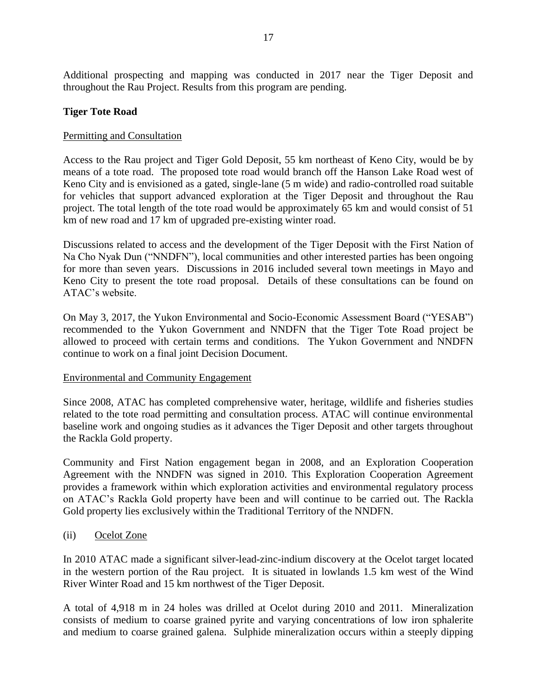Additional prospecting and mapping was conducted in 2017 near the Tiger Deposit and throughout the Rau Project. Results from this program are pending.

### **Tiger Tote Road**

### Permitting and Consultation

Access to the Rau project and Tiger Gold Deposit, 55 km northeast of Keno City, would be by means of a tote road. The proposed tote road would branch off the Hanson Lake Road west of Keno City and is envisioned as a gated, single-lane (5 m wide) and radio-controlled road suitable for vehicles that support advanced exploration at the Tiger Deposit and throughout the Rau project. The total length of the tote road would be approximately 65 km and would consist of 51 km of new road and 17 km of upgraded pre-existing winter road.

Discussions related to access and the development of the Tiger Deposit with the First Nation of Na Cho Nyak Dun ("NNDFN"), local communities and other interested parties has been ongoing for more than seven years. Discussions in 2016 included several town meetings in Mayo and Keno City to present the tote road proposal. Details of these consultations can be found on ATAC's website.

On May 3, 2017, the Yukon Environmental and Socio-Economic Assessment Board ("YESAB") recommended to the Yukon Government and NNDFN that the Tiger Tote Road project be allowed to proceed with certain terms and conditions. The Yukon Government and NNDFN continue to work on a final joint Decision Document.

#### Environmental and Community Engagement

Since 2008, ATAC has completed comprehensive water, heritage, wildlife and fisheries studies related to the tote road permitting and consultation process. ATAC will continue environmental baseline work and ongoing studies as it advances the Tiger Deposit and other targets throughout the Rackla Gold property.

Community and First Nation engagement began in 2008, and an Exploration Cooperation Agreement with the NNDFN was signed in 2010. This Exploration Cooperation Agreement provides a framework within which exploration activities and environmental regulatory process on ATAC's Rackla Gold property have been and will continue to be carried out. The Rackla Gold property lies exclusively within the Traditional Territory of the NNDFN.

#### (ii) Ocelot Zone

In 2010 ATAC made a significant silver-lead-zinc-indium discovery at the Ocelot target located in the western portion of the Rau project. It is situated in lowlands 1.5 km west of the Wind River Winter Road and 15 km northwest of the Tiger Deposit.

A total of 4,918 m in 24 holes was drilled at Ocelot during 2010 and 2011. Mineralization consists of medium to coarse grained pyrite and varying concentrations of low iron sphalerite and medium to coarse grained galena. Sulphide mineralization occurs within a steeply dipping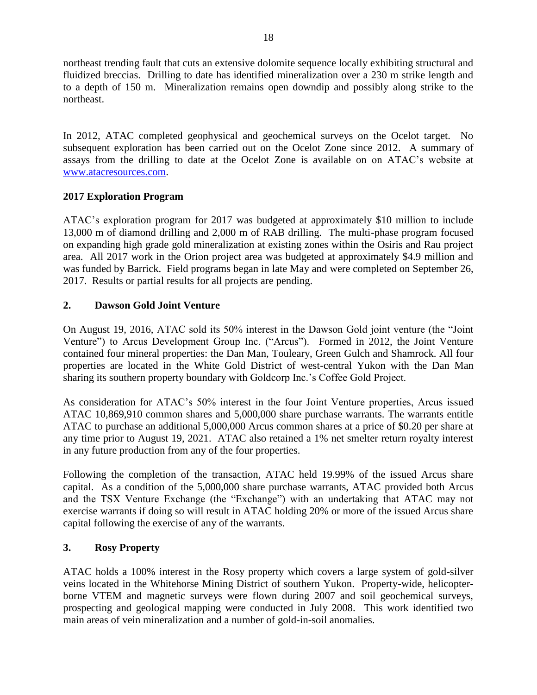northeast trending fault that cuts an extensive dolomite sequence locally exhibiting structural and fluidized breccias. Drilling to date has identified mineralization over a 230 m strike length and to a depth of 150 m. Mineralization remains open downdip and possibly along strike to the northeast.

In 2012, ATAC completed geophysical and geochemical surveys on the Ocelot target. No subsequent exploration has been carried out on the Ocelot Zone since 2012. A summary of assays from the drilling to date at the Ocelot Zone is available on on ATAC's website at [www.atacresources.com.](http://www.atacresources.com/news/news-releases/atac-resources-ltd-identifies-10-sq-km-gold-in-soil-anomaly-5-km-southeast-of-its-tiger-gold-deposit-rackla-gold-project-yukon)

## **2017 Exploration Program**

ATAC's exploration program for 2017 was budgeted at approximately \$10 million to include 13,000 m of diamond drilling and 2,000 m of RAB drilling. The multi-phase program focused on expanding high grade gold mineralization at existing zones within the Osiris and Rau project area. All 2017 work in the Orion project area was budgeted at approximately \$4.9 million and was funded by Barrick. Field programs began in late May and were completed on September 26, 2017. Results or partial results for all projects are pending.

## **2. Dawson Gold Joint Venture**

On August 19, 2016, ATAC sold its 50% interest in the Dawson Gold joint venture (the "Joint Venture") to Arcus Development Group Inc. ("Arcus"). Formed in 2012, the Joint Venture contained four mineral properties: the Dan Man, Touleary, Green Gulch and Shamrock. All four properties are located in the White Gold District of west-central Yukon with the Dan Man sharing its southern property boundary with Goldcorp Inc.'s Coffee Gold Project.

As consideration for ATAC's 50% interest in the four Joint Venture properties, Arcus issued ATAC 10,869,910 common shares and 5,000,000 share purchase warrants. The warrants entitle ATAC to purchase an additional 5,000,000 Arcus common shares at a price of \$0.20 per share at any time prior to August 19, 2021. ATAC also retained a 1% net smelter return royalty interest in any future production from any of the four properties.

Following the completion of the transaction, ATAC held 19.99% of the issued Arcus share capital. As a condition of the 5,000,000 share purchase warrants, ATAC provided both Arcus and the TSX Venture Exchange (the "Exchange") with an undertaking that ATAC may not exercise warrants if doing so will result in ATAC holding 20% or more of the issued Arcus share capital following the exercise of any of the warrants.

# **3. Rosy Property**

ATAC holds a 100% interest in the Rosy property which covers a large system of gold-silver veins located in the Whitehorse Mining District of southern Yukon. Property-wide, helicopterborne VTEM and magnetic surveys were flown during 2007 and soil geochemical surveys, prospecting and geological mapping were conducted in July 2008. This work identified two main areas of vein mineralization and a number of gold-in-soil anomalies.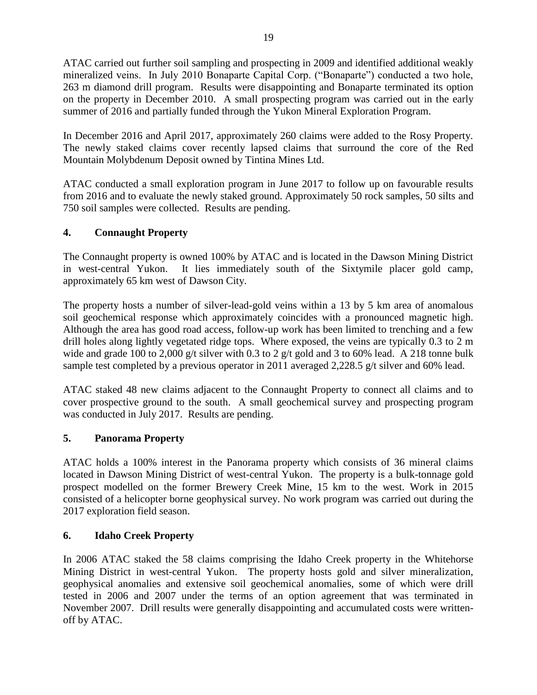ATAC carried out further soil sampling and prospecting in 2009 and identified additional weakly mineralized veins. In July 2010 Bonaparte Capital Corp. ("Bonaparte") conducted a two hole, 263 m diamond drill program. Results were disappointing and Bonaparte terminated its option on the property in December 2010. A small prospecting program was carried out in the early summer of 2016 and partially funded through the Yukon Mineral Exploration Program.

In December 2016 and April 2017, approximately 260 claims were added to the Rosy Property. The newly staked claims cover recently lapsed claims that surround the core of the Red Mountain Molybdenum Deposit owned by Tintina Mines Ltd.

ATAC conducted a small exploration program in June 2017 to follow up on favourable results from 2016 and to evaluate the newly staked ground. Approximately 50 rock samples, 50 silts and 750 soil samples were collected. Results are pending.

# **4. Connaught Property**

The Connaught property is owned 100% by ATAC and is located in the Dawson Mining District in west-central Yukon. It lies immediately south of the Sixtymile placer gold camp, approximately 65 km west of Dawson City.

The property hosts a number of silver-lead-gold veins within a 13 by 5 km area of anomalous soil geochemical response which approximately coincides with a pronounced magnetic high. Although the area has good road access, follow-up work has been limited to trenching and a few drill holes along lightly vegetated ridge tops. Where exposed, the veins are typically 0.3 to 2 m wide and grade 100 to 2,000 g/t silver with 0.3 to 2 g/t gold and 3 to 60% lead. A 218 tonne bulk sample test completed by a previous operator in 2011 averaged 2,228.5 g/t silver and 60% lead.

ATAC staked 48 new claims adjacent to the Connaught Property to connect all claims and to cover prospective ground to the south. A small geochemical survey and prospecting program was conducted in July 2017. Results are pending.

# **5. Panorama Property**

ATAC holds a 100% interest in the Panorama property which consists of 36 mineral claims located in Dawson Mining District of west-central Yukon. The property is a bulk-tonnage gold prospect modelled on the former Brewery Creek Mine, 15 km to the west. Work in 2015 consisted of a helicopter borne geophysical survey. No work program was carried out during the 2017 exploration field season.

## **6. Idaho Creek Property**

In 2006 ATAC staked the 58 claims comprising the Idaho Creek property in the Whitehorse Mining District in west-central Yukon. The property hosts gold and silver mineralization, geophysical anomalies and extensive soil geochemical anomalies, some of which were drill tested in 2006 and 2007 under the terms of an option agreement that was terminated in November 2007. Drill results were generally disappointing and accumulated costs were writtenoff by ATAC.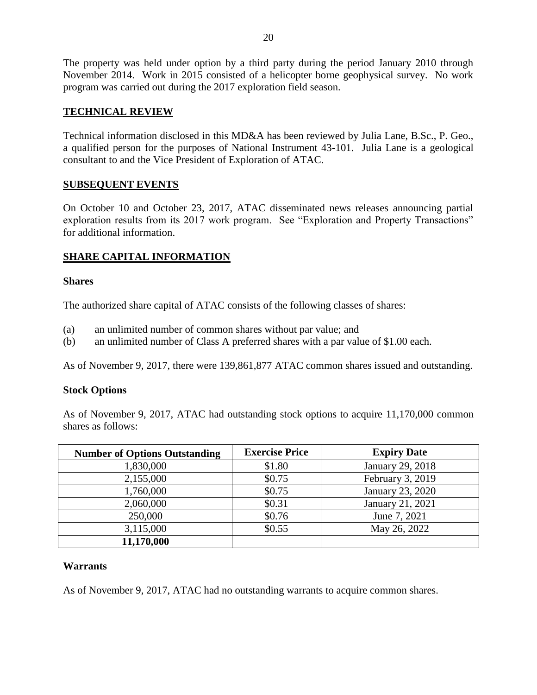The property was held under option by a third party during the period January 2010 through November 2014. Work in 2015 consisted of a helicopter borne geophysical survey. No work program was carried out during the 2017 exploration field season.

## **TECHNICAL REVIEW**

Technical information disclosed in this MD&A has been reviewed by Julia Lane, B.Sc., P. Geo., a qualified person for the purposes of National Instrument 43-101. Julia Lane is a geological consultant to and the Vice President of Exploration of ATAC.

## **SUBSEQUENT EVENTS**

On October 10 and October 23, 2017, ATAC disseminated news releases announcing partial exploration results from its 2017 work program. See "Exploration and Property Transactions" for additional information.

# **SHARE CAPITAL INFORMATION**

#### **Shares**

The authorized share capital of ATAC consists of the following classes of shares:

- (a) an unlimited number of common shares without par value; and
- (b) an unlimited number of Class A preferred shares with a par value of \$1.00 each.

As of November 9, 2017, there were 139,861,877 ATAC common shares issued and outstanding.

## **Stock Options**

As of November 9, 2017, ATAC had outstanding stock options to acquire 11,170,000 common shares as follows:

| <b>Number of Options Outstanding</b> | <b>Exercise Price</b> | <b>Expiry Date</b> |
|--------------------------------------|-----------------------|--------------------|
| 1,830,000                            | \$1.80                | January 29, 2018   |
| 2,155,000                            | \$0.75                | February 3, 2019   |
| 1,760,000                            | \$0.75                | January 23, 2020   |
| 2,060,000                            | \$0.31                | January 21, 2021   |
| 250,000                              | \$0.76                | June 7, 2021       |
| 3,115,000                            | \$0.55                | May 26, 2022       |
| 11,170,000                           |                       |                    |

## **Warrants**

As of November 9, 2017, ATAC had no outstanding warrants to acquire common shares.